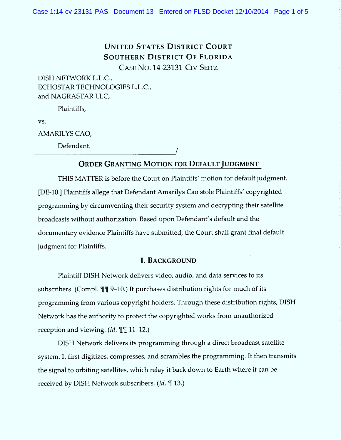# **UNITED STATES DISTRICT COURT** SOUTHERN DISTRICT OF FLORIDA CASE NO. 14-23131-CIV-SEITZ

DISH NETWORK L.L.C., ECHOSTAR TECHNOLOGIES L.L.C., and NAGRASTAR LLC,

Plaintiffs,

VS.

AMARILYS CAO,

Defendant.

## ORDER GRANTING MOTION FOR DEFAULT JUDGMENT

THIS MATTER is before the Court on Plaintiffs' motion for default judgment. [DE-10.] Plaintiffs allege that Defendant Amarilys Cao stole Plaintiffs' copyrighted programming by circumventing their security system and decrypting their satellite broadcasts w ithout authorization. Based upon Defendant's default and the docum entary evidence Plaintiffs have submitted, the Court shall grant final default judgment for Plaintiffs.

#### L BACKGROUND

Plaintiff DISH Network delivers video, audio, and data services to its subscribers. (Compl.  $\mathbb{I}$   $\mathbb{I}$  9-10.) It purchases distribution rights for much of its programming from various copyright holders. Through these distribution rights, DISH Network has the authority to protect the copyrighted works from unauthorized reception and viewing.  $(Id. \mathbb{T} \mathbb{T} 11-12.)$ 

DISH Network delivers its programming through a direct broadcast satellite system. It first digitizes, compresses, and scrambles the programming. It then transmits the signal to orbiting satellites, which relay it back down to Earth where it can be received by DISH Network subscribers.  $(Id. \mathcal{T}$  13.)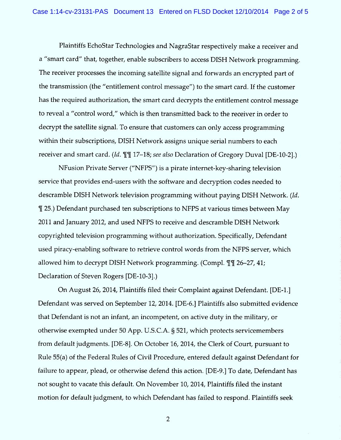Plaintiffs EchoStar Technologies and NagraStar respectively make a receiver and a "smart card" that, together, enable subscribers to access DISH Network programming. The receiver processes the incoming satellite signal and forwards an encrypted part of the transmission (the ''entitlement control message'') to the smart card. lf the customer has the required authorization, the smart card decrypts the entitlement control message to reveal a "control word," which is then transmitted back to the receiver in order to decrypt the satellite signal. To ensure that customers can only access programming within their subscriptions, DISH Network assigns unique serial numbers to each receiver and smart card. (Id.  $\P\P$  17–18; see also Declaration of Gregory Duval [DE-10-2].)

NFusion Private Server (''NFPS'') is a pirate internet-key-sharing television service that provides end-users with the software and decryption codes needed to descramble DISH Network television programming without paying DISH Network. (Id. % 25.) Defendant purchased ten subscriptions to NFPS at various times between May 2011 and January 2012, and used NFPS to receive and descramble DISH Network copyrighted television programming without authorization. Specifically, Defendant used piracy-enabling software to retrieve control words from the NFPS server, which allowed him to decrypt DISH Network programming. (Compl.  $\mathbb{I}$  1 26–27, 41; Declaration of Steven Rogers [DE-10-3].)

On August 26, 2014, Plaintiffs filed their Complaint against Defendant. (DE-1.J Defendant was served on September 12, 2014. [DE-6.] Plaintiffs also submitted evidence that Defendant is not an infant, an incompetent, on active duty in the military, or otherwise exempted under 50 App. U.S.C.A. § 521, which protects servicemembers from default judgments. (DE-8J. On October 16, 2014, the Clerk of Court, pursuant to Rule 55(a) of the Federal Rules of Civil Procedure, entered default against Defendant for failure to appear, plead, or otherwise defend this action. (DE-9.) To date, Defendant has not sought to vacate this default. On November 10, 2014, Plaintiffs filed the instant motion for default judgment, to which Defendant has failed to respond. Plaintiffs seek

2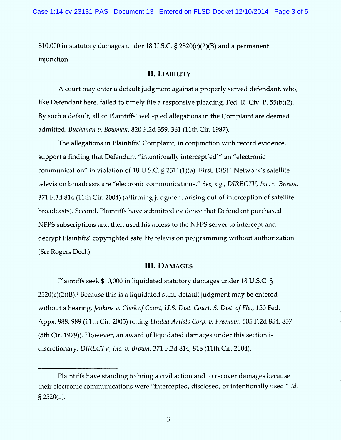$$10,000$  in statutory damages under 18 U.S.C. § 2520(c)(2)(B) and a permanent injunction.

#### II. LIABILITY

A court may enter a default judgment against a properly served defendant, who, like Defendant here, failed to timely file a responsive pleading. Fed. R. Civ. P. 55(b)(2). By such a default, all of Plaintiffs' well-pled allegations in the Complaint are deemed admitted. Buchanan v. Bowman, 820 F.2d 359, 361 (11th Cir. 1987).

The allegations in Plaintiffs' Complaint, in conjunction with record evidence, support a finding that Defendant "intentionally intercept[ed]" an "electronic communication" in violation of 18 U.S.C.  $\S$  2511(1)(a). First, DISH Network's satellite television broadcasts are "electronic communications." See, e.g., DIRECTV, Inc.  $v$ . Brown, 371 F.3d 814 (11th Cir. 2004) (affirming judgment arising out of interception of satellite broadcasts). Second, Plaintiffs have submitted evidence that Defendant purchased NFPS subscriptions and then used his access to the NFPS server to intercept and decrypt Plaintiffs' copyrighted satellite television programming without authorization. (See Rogers Dec1.)

## **III. DAMAGES**

Plaintiffs seek \$10,000 in liquidated statutory damages under 18 U.S.C. §  $2520(c)(2)(B)$ .<sup>1</sup> Because this is a liquidated sum, default judgment may be entered without a hearing. Jenkins v. Clerk of Court, U.S. Dist. Court, S. Dist. of Fla., 150 Fed. Appx. 988, 989 (11th Cir. 2005) (citing United Artists Corp. v. Freeman, 605 F.2d 854, 857 (5th Cir. 1979)). However, an award of liquidated damages under this section is discretionary. DIRECTV, Inc. v. Brown, 371 F.3d 814, 818 (11th Cir. 2004).

 $1$  Plaintiffs have standing to bring a civil action and to recover damages because their electronic communications were "intercepted, disclosed, or intentionally used." Id.  $§$  2520(a).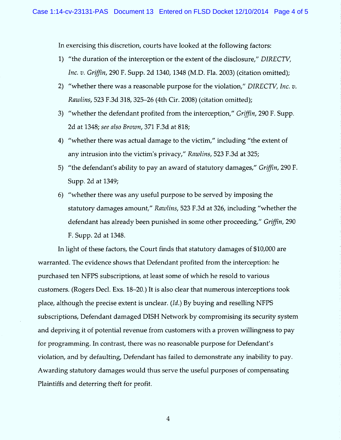In exercising this discretion, courts have looked at the following factors:

- 1) "the duration of the interception or the extent of the disclosure,"  $DIRECTV$ , Inc. v. Griffin, 290 F. Supp. 2d 1340, 1348 (M.D. Fla. 2003) (citation omitted);
- 2) "whether there was a reasonable purpose for the violation," DIRECTV, Inc.  $v$ . Rawlins, 523 F.3d 318, 325-26 (4th Cir. 2008) (citation omitted);
- 3) "whether the defendant profited from the interception," Griffin, 290 F. Supp. 2d at 1348; see also Brown, 371 F.3d at 818;
- 4) ''whether there was actual damage to the victim,'' including ''the extent of any intrusion into the victim's privacy," Rawlins, 523 F.3d at 325;
- 5) "the defendant's ability to pay an award of statutory damages," Griffin, 290 F. Supp. 2d at 1349;
- 6) ''whether there was any useful purpose to be served by imposing the statutory damages amount," Rawlins, 523 F.3d at 326, including "whether the defendant has already been punished in some other proceeding," Griffin, 290 F. Supp. 2d at 1348.

In light of these factors, the Court finds that statutory damages of \$10,000 are warranted. The evidence shows that Defendant profited from the interception: he purchased ten NFPS subscriptions, at least some of which he resold to various customers. (Rogers Decl. Exs. 18–20.) It is also clear that numerous interceptions took place, although the precise extent is unclear. (Id.) By buying and reselling NFPS subscriptions, Defendant damaged DISH Network by compromising its security system and depriving it of potential revenue from customers with a proven willingness to pay for programming. In contrast, there was no reasonable purpose for Defendant's violation, and by defaulting, Defendant has failed to demonstrate any inability to pay. Aw arding statutory damages would thus serve the useful purposes of compensating Plaintiffs and deterring theft for profit.

4